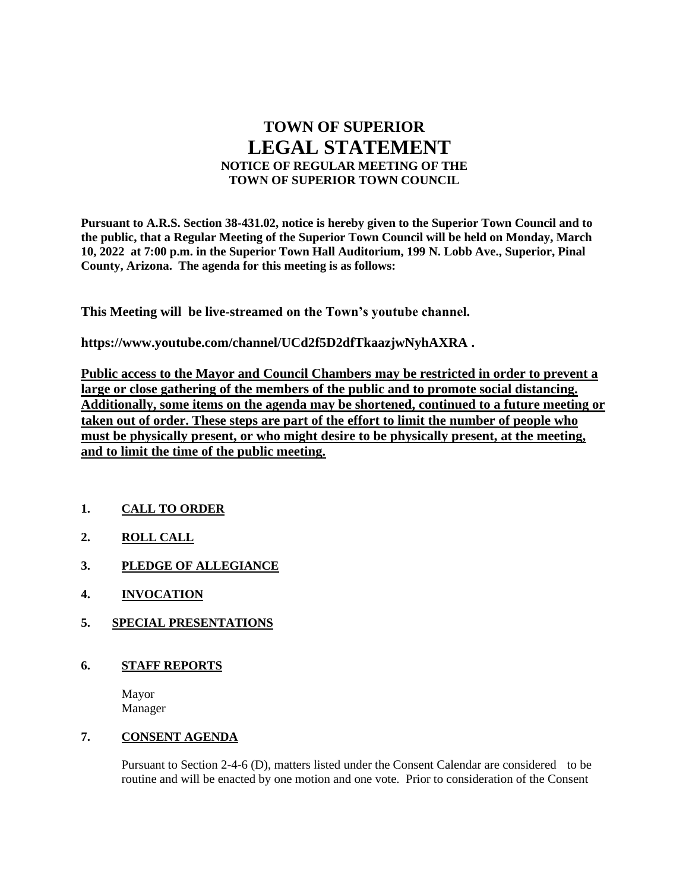# **TOWN OF SUPERIOR LEGAL STATEMENT NOTICE OF REGULAR MEETING OF THE TOWN OF SUPERIOR TOWN COUNCIL**

**Pursuant to A.R.S. Section 38-431.02, notice is hereby given to the Superior Town Council and to the public, that a Regular Meeting of the Superior Town Council will be held on Monday, March 10, 2022 at 7:00 p.m. in the Superior Town Hall Auditorium, 199 N. Lobb Ave., Superior, Pinal County, Arizona. The agenda for this meeting is as follows:**

**This Meeting will be live-streamed on the Town's youtube channel.** 

**https://www.youtube.com/channel/UCd2f5D2dfTkaazjwNyhAXRA .** 

**Public access to the Mayor and Council Chambers may be restricted in order to prevent a large or close gathering of the members of the public and to promote social distancing. Additionally, some items on the agenda may be shortened, continued to a future meeting or taken out of order. These steps are part of the effort to limit the number of people who must be physically present, or who might desire to be physically present, at the meeting, and to limit the time of the public meeting.**

- **1. CALL TO ORDER**
- **2. ROLL CALL**
- **3. PLEDGE OF ALLEGIANCE**
- **4. INVOCATION**
- **5. SPECIAL PRESENTATIONS**
- **6. STAFF REPORTS**

Mayor Manager

# **7. CONSENT AGENDA**

Pursuant to Section 2-4-6 (D), matters listed under the Consent Calendar are considered to be routine and will be enacted by one motion and one vote. Prior to consideration of the Consent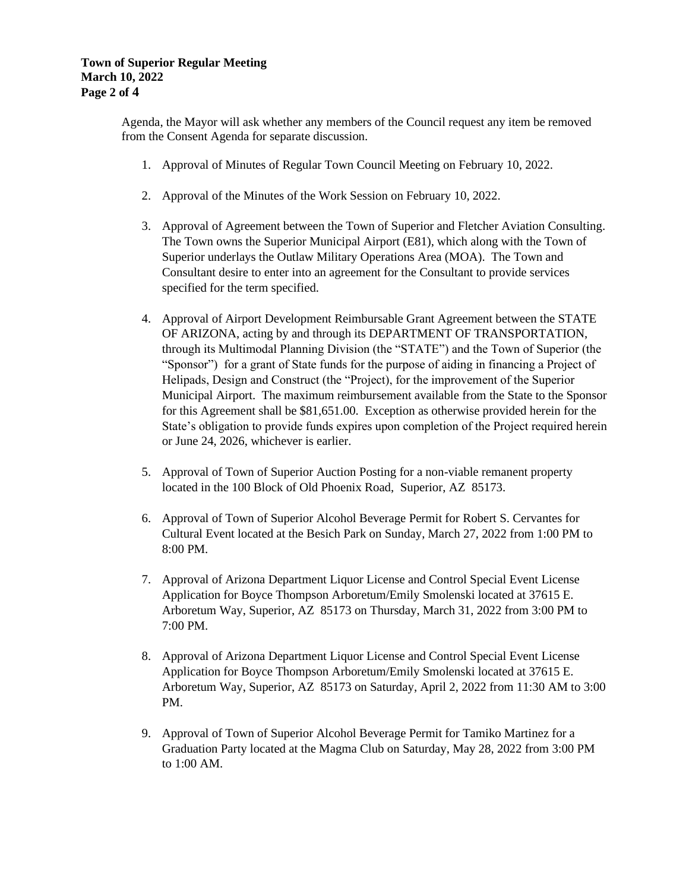### **Town of Superior Regular Meeting March 10, 2022 Page 2 of 4**

Agenda, the Mayor will ask whether any members of the Council request any item be removed from the Consent Agenda for separate discussion.

- 1. Approval of Minutes of Regular Town Council Meeting on February 10, 2022.
- 2. Approval of the Minutes of the Work Session on February 10, 2022.
- 3. Approval of Agreement between the Town of Superior and Fletcher Aviation Consulting. The Town owns the Superior Municipal Airport (E81), which along with the Town of Superior underlays the Outlaw Military Operations Area (MOA). The Town and Consultant desire to enter into an agreement for the Consultant to provide services specified for the term specified.
- 4. Approval of Airport Development Reimbursable Grant Agreement between the STATE OF ARIZONA, acting by and through its DEPARTMENT OF TRANSPORTATION, through its Multimodal Planning Division (the "STATE") and the Town of Superior (the "Sponsor") for a grant of State funds for the purpose of aiding in financing a Project of Helipads, Design and Construct (the "Project), for the improvement of the Superior Municipal Airport. The maximum reimbursement available from the State to the Sponsor for this Agreement shall be \$81,651.00. Exception as otherwise provided herein for the State's obligation to provide funds expires upon completion of the Project required herein or June 24, 2026, whichever is earlier.
- 5. Approval of Town of Superior Auction Posting for a non-viable remanent property located in the 100 Block of Old Phoenix Road, Superior, AZ 85173.
- 6. Approval of Town of Superior Alcohol Beverage Permit for Robert S. Cervantes for Cultural Event located at the Besich Park on Sunday, March 27, 2022 from 1:00 PM to 8:00 PM.
- 7. Approval of Arizona Department Liquor License and Control Special Event License Application for Boyce Thompson Arboretum/Emily Smolenski located at 37615 E. Arboretum Way, Superior, AZ 85173 on Thursday, March 31, 2022 from 3:00 PM to 7:00 PM.
- 8. Approval of Arizona Department Liquor License and Control Special Event License Application for Boyce Thompson Arboretum/Emily Smolenski located at 37615 E. Arboretum Way, Superior, AZ 85173 on Saturday, April 2, 2022 from 11:30 AM to 3:00 PM.
- 9. Approval of Town of Superior Alcohol Beverage Permit for Tamiko Martinez for a Graduation Party located at the Magma Club on Saturday, May 28, 2022 from 3:00 PM to 1:00 AM.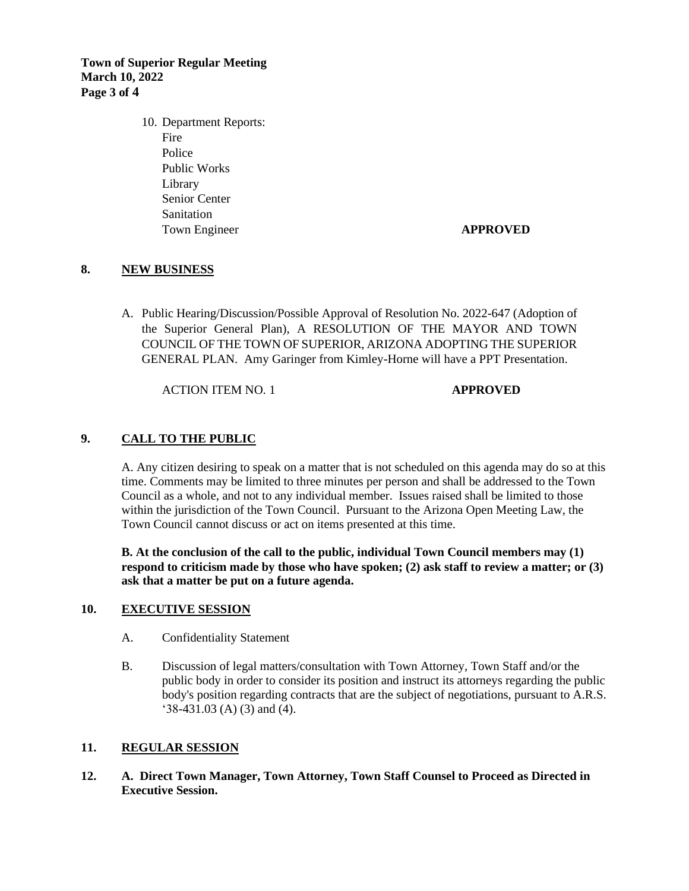**Town of Superior Regular Meeting March 10, 2022 Page 3 of 4**

> 10. Department Reports: Fire Police Public Works Library Senior Center **Sanitation** Town Engineer **APPROVED**

### **8. NEW BUSINESS**

A. Public Hearing/Discussion/Possible Approval of Resolution No. 2022-647 (Adoption of the Superior General Plan), A RESOLUTION OF THE MAYOR AND TOWN COUNCIL OF THE TOWN OF SUPERIOR, ARIZONA ADOPTING THE SUPERIOR GENERAL PLAN. Amy Garinger from Kimley-Horne will have a PPT Presentation.

ACTION ITEM NO. 1 **APPROVED**

### **9. CALL TO THE PUBLIC**

A. Any citizen desiring to speak on a matter that is not scheduled on this agenda may do so at this time. Comments may be limited to three minutes per person and shall be addressed to the Town Council as a whole, and not to any individual member. Issues raised shall be limited to those within the jurisdiction of the Town Council. Pursuant to the Arizona Open Meeting Law, the Town Council cannot discuss or act on items presented at this time.

**B. At the conclusion of the call to the public, individual Town Council members may (1) respond to criticism made by those who have spoken; (2) ask staff to review a matter; or (3) ask that a matter be put on a future agenda.**

#### **10. EXECUTIVE SESSION**

- A. Confidentiality Statement
- B. Discussion of legal matters/consultation with Town Attorney, Town Staff and/or the public body in order to consider its position and instruct its attorneys regarding the public body's position regarding contracts that are the subject of negotiations, pursuant to A.R.S. '38-431.03 (A) (3) and (4).

#### **11. REGULAR SESSION**

**12. A. Direct Town Manager, Town Attorney, Town Staff Counsel to Proceed as Directed in Executive Session.**